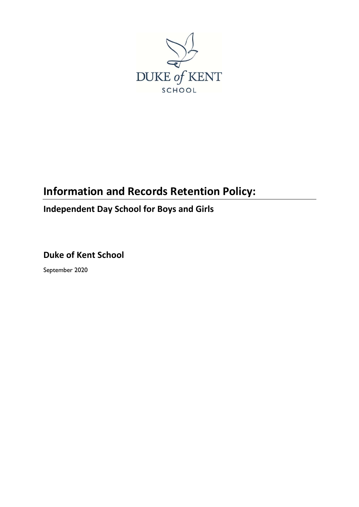

## **Information and Records Retention Policy:**

## **Independent Day School for Boys and Girls**

**Duke of Kent School**

September 2020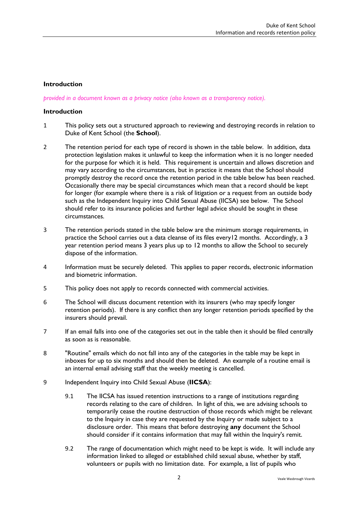## **Introduction**

*provided in a document known as a privacy notice (also known as a transparency notice).* 

## **Introduction**

- 1 This policy sets out a structured approach to reviewing and destroying records in relation to Duke of Kent School (the **School**).
- 2 The retention period for each type of record is shown in the table below. In addition, data protection legislation makes it unlawful to keep the information when it is no longer needed for the purpose for which it is held. This requirement is uncertain and allows discretion and may vary according to the circumstances, but in practice it means that the School should promptly destroy the record once the retention period in the table below has been reached. Occasionally there may be special circumstances which mean that a record should be kept for longer (for example where there is a risk of litigation or a request from an outside body such as the Independent Inquiry into Child Sexual Abuse (IICSA) see below. The School should refer to its insurance policies and further legal advice should be sought in these circumstances.
- <span id="page-1-0"></span>3 The retention periods stated in the table below are the minimum storage requirements, in practice the School carries out a data cleanse of its files every12 months. Accordingly, a 3 year retention period means 3 years plus up to 12 months to allow the School to securely dispose of the information.
- 4 Information must be securely deleted. This applies to paper records, electronic information and biometric information.
- 5 This policy does not apply to records connected with commercial activities.
- 6 The School will discuss document retention with its insurers (who may specify longer retention periods). If there is any conflict then any longer retention periods specified by the insurers should prevail.
- 7 If an email falls into one of the categories set out in the table then it should be filed centrally as soon as is reasonable.
- 8 "Routine" emails which do not fall into any of the categories in the table may be kept in inboxes for up to six months and should then be deleted. An example of a routine email is an internal email advising staff that the weekly meeting is cancelled.
- 9 Independent Inquiry into Child Sexual Abuse (**IICSA**):
	- 9.1 The IICSA has issued retention instructions to a range of institutions regarding records relating to the care of children. In light of this, we are advising schools to temporarily cease the routine destruction of those records which might be relevant to the Inquiry in case they are requested by the Inquiry or made subject to a disclosure order. This means that before destroying **any** document the School should consider if it contains information that may fall within the Inquiry's remit.
	- 9.2 The range of documentation which might need to be kept is wide. It will include any information linked to alleged or established child sexual abuse, whether by staff, volunteers or pupils with no limitation date. For example, a list of pupils who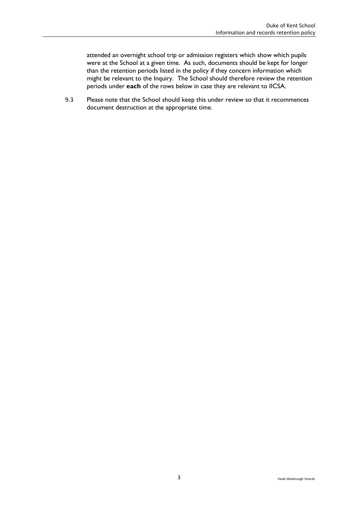attended an overnight school trip or admission registers which show which pupils were at the School at a given time. As such, documents should be kept for longer than the retention periods listed in the policy if they concern information which might be relevant to the Inquiry. The School should therefore review the retention periods under **each** of the rows below in case they are relevant to IICSA.

9.3 Please note that the School should keep this under review so that it recommences document destruction at the appropriate time.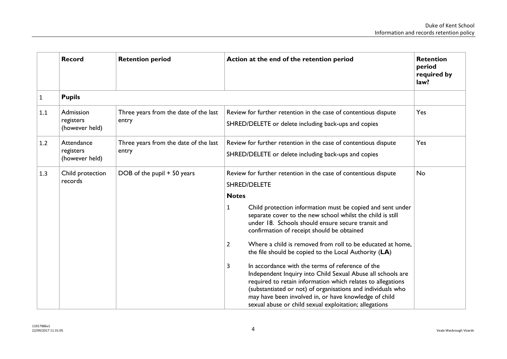|     | <b>Record</b>                             | <b>Retention period</b>                        | Action at the end of the retention period                                                                                                                                                                                                                                                                                                                                                                                                                                                                                                                                                                                                                                                                                                                                                                                                 | <b>Retention</b><br>period<br>required by<br>law? |
|-----|-------------------------------------------|------------------------------------------------|-------------------------------------------------------------------------------------------------------------------------------------------------------------------------------------------------------------------------------------------------------------------------------------------------------------------------------------------------------------------------------------------------------------------------------------------------------------------------------------------------------------------------------------------------------------------------------------------------------------------------------------------------------------------------------------------------------------------------------------------------------------------------------------------------------------------------------------------|---------------------------------------------------|
| 1   | <b>Pupils</b>                             |                                                |                                                                                                                                                                                                                                                                                                                                                                                                                                                                                                                                                                                                                                                                                                                                                                                                                                           |                                                   |
| 1.1 | Admission<br>registers<br>(however held)  | Three years from the date of the last<br>entry | Review for further retention in the case of contentious dispute<br>SHRED/DELETE or delete including back-ups and copies                                                                                                                                                                                                                                                                                                                                                                                                                                                                                                                                                                                                                                                                                                                   | Yes                                               |
| 1.2 | Attendance<br>registers<br>(however held) | Three years from the date of the last<br>entry | Review for further retention in the case of contentious dispute<br>SHRED/DELETE or delete including back-ups and copies                                                                                                                                                                                                                                                                                                                                                                                                                                                                                                                                                                                                                                                                                                                   | Yes                                               |
| 1.3 | Child protection<br>records               | DOB of the pupil + 50 years                    | Review for further retention in the case of contentious dispute<br>SHRED/DELETE<br><b>Notes</b><br>Child protection information must be copied and sent under<br>1<br>separate cover to the new school whilst the child is still<br>under 18. Schools should ensure secure transit and<br>confirmation of receipt should be obtained<br>Where a child is removed from roll to be educated at home,<br>2<br>the file should be copied to the Local Authority (LA)<br>In accordance with the terms of reference of the<br>3<br>Independent Inquiry into Child Sexual Abuse all schools are<br>required to retain information which relates to allegations<br>(substantiated or not) of organisations and individuals who<br>may have been involved in, or have knowledge of child<br>sexual abuse or child sexual exploitation; allegations | No                                                |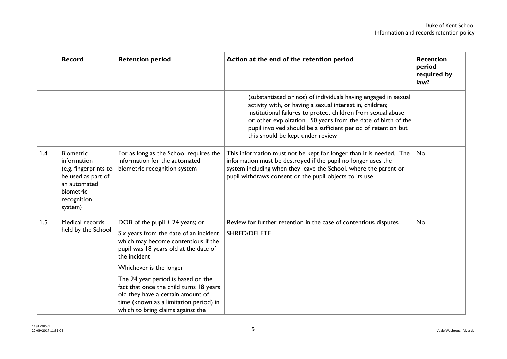|     | <b>Record</b>                                                                                                                         | <b>Retention period</b>                                                                                                                                                                                                                                                                                                                                                                                   | Action at the end of the retention period                                                                                                                                                                                                                                                                                                                        | <b>Retention</b><br>period<br>required by<br>law? |
|-----|---------------------------------------------------------------------------------------------------------------------------------------|-----------------------------------------------------------------------------------------------------------------------------------------------------------------------------------------------------------------------------------------------------------------------------------------------------------------------------------------------------------------------------------------------------------|------------------------------------------------------------------------------------------------------------------------------------------------------------------------------------------------------------------------------------------------------------------------------------------------------------------------------------------------------------------|---------------------------------------------------|
|     |                                                                                                                                       |                                                                                                                                                                                                                                                                                                                                                                                                           | (substantiated or not) of individuals having engaged in sexual<br>activity with, or having a sexual interest in, children;<br>institutional failures to protect children from sexual abuse<br>or other exploitation. 50 years from the date of birth of the<br>pupil involved should be a sufficient period of retention but<br>this should be kept under review |                                                   |
| 1.4 | <b>Biometric</b><br>information<br>(e.g. fingerprints to<br>be used as part of<br>an automated<br>biometric<br>recognition<br>system) | For as long as the School requires the<br>information for the automated<br>biometric recognition system                                                                                                                                                                                                                                                                                                   | This information must not be kept for longer than it is needed. The<br>information must be destroyed if the pupil no longer uses the<br>system including when they leave the School, where the parent or<br>pupil withdraws consent or the pupil objects to its use                                                                                              | No                                                |
| 1.5 | Medical records<br>held by the School                                                                                                 | DOB of the pupil + 24 years; or<br>Six years from the date of an incident<br>which may become contentious if the<br>pupil was 18 years old at the date of<br>the incident<br>Whichever is the longer<br>The 24 year period is based on the<br>fact that once the child turns 18 years<br>old they have a certain amount of<br>time (known as a limitation period) in<br>which to bring claims against the | Review for further retention in the case of contentious disputes<br>SHRED/DELETE                                                                                                                                                                                                                                                                                 | No                                                |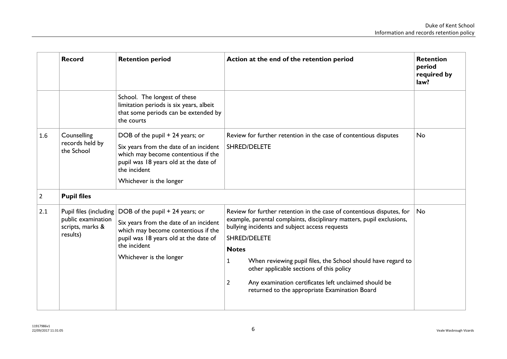<span id="page-5-0"></span>

|                | <b>Record</b>                                      | <b>Retention period</b>                                                                                                                                                                                                             | Action at the end of the retention period                                                                                                                                                                                                                                                                                                                                                                                                                                     | <b>Retention</b><br>period<br>required by<br>law? |
|----------------|----------------------------------------------------|-------------------------------------------------------------------------------------------------------------------------------------------------------------------------------------------------------------------------------------|-------------------------------------------------------------------------------------------------------------------------------------------------------------------------------------------------------------------------------------------------------------------------------------------------------------------------------------------------------------------------------------------------------------------------------------------------------------------------------|---------------------------------------------------|
|                |                                                    | School. The longest of these<br>limitation periods is six years, albeit<br>that some periods can be extended by<br>the courts                                                                                                       |                                                                                                                                                                                                                                                                                                                                                                                                                                                                               |                                                   |
| 1.6            | Counselling<br>records held by<br>the School       | DOB of the pupil + 24 years; or<br>Six years from the date of an incident<br>which may become contentious if the<br>pupil was 18 years old at the date of<br>the incident<br>Whichever is the longer                                | Review for further retention in the case of contentious disputes<br>SHRED/DELETE                                                                                                                                                                                                                                                                                                                                                                                              | <b>No</b>                                         |
| $\overline{2}$ | <b>Pupil files</b>                                 |                                                                                                                                                                                                                                     |                                                                                                                                                                                                                                                                                                                                                                                                                                                                               |                                                   |
| 2.1            | public examination<br>scripts, marks &<br>results) | Pupil files (including $\vert$ DOB of the pupil + 24 years; or<br>Six years from the date of an incident<br>which may become contentious if the<br>pupil was 18 years old at the date of<br>the incident<br>Whichever is the longer | Review for further retention in the case of contentious disputes, for<br>example, parental complaints, disciplinary matters, pupil exclusions,<br>bullying incidents and subject access requests<br>SHRED/DELETE<br><b>Notes</b><br>When reviewing pupil files, the School should have regard to<br>1<br>other applicable sections of this policy<br>Any examination certificates left unclaimed should be<br>$\overline{2}$<br>returned to the appropriate Examination Board | No                                                |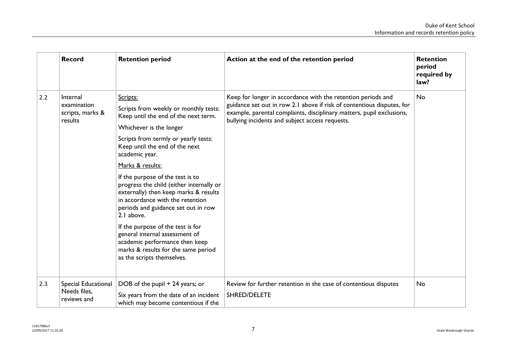|     | <b>Record</b>                                          | <b>Retention period</b>                                                                                                                                                                                                                                                                                                                                                                                                                                                                                                                                                                                                              | Action at the end of the retention period                                                                                                                                                                                                                          | <b>Retention</b><br>period<br>required by<br>law? |
|-----|--------------------------------------------------------|--------------------------------------------------------------------------------------------------------------------------------------------------------------------------------------------------------------------------------------------------------------------------------------------------------------------------------------------------------------------------------------------------------------------------------------------------------------------------------------------------------------------------------------------------------------------------------------------------------------------------------------|--------------------------------------------------------------------------------------------------------------------------------------------------------------------------------------------------------------------------------------------------------------------|---------------------------------------------------|
| 2.2 | Internal<br>examination<br>scripts, marks &<br>results | Scripts:<br>Scripts from weekly or monthly tests:<br>Keep until the end of the next term.<br>Whichever is the longer<br>Scripts from termly or yearly tests:<br>Keep until the end of the next<br>academic year.<br>Marks & results:<br>If the purpose of the test is to<br>progress the child (either internally or<br>externally) then keep marks & results<br>in accordance with the retention<br>periods and guidance set out in row<br>2.1 above.<br>If the purpose of the test is for<br>general internal assessment of<br>academic performance then keep<br>marks & results for the same period<br>as the scripts themselves. | Keep for longer in accordance with the retention periods and<br>guidance set out in row 2.1 above if risk of contentious disputes, for<br>example, parental complaints, disciplinary matters, pupil exclusions,<br>bullying incidents and subject access requests. | <b>No</b>                                         |
| 2.3 | Special Educational<br>Needs files.<br>reviews and     | DOB of the pupil + 24 years; or<br>Six years from the date of an incident<br>which may become contentious if the                                                                                                                                                                                                                                                                                                                                                                                                                                                                                                                     | Review for further retention in the case of contentious disputes<br>SHRED/DELETE                                                                                                                                                                                   | No                                                |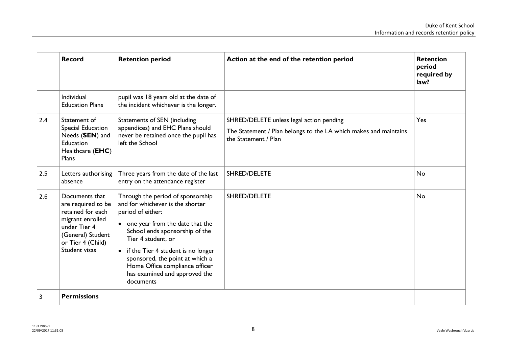|     | <b>Record</b>                                                                                                                                            | <b>Retention period</b>                                                                                                                                                                                                                                                                                                                            | Action at the end of the retention period                                                                                            | <b>Retention</b><br>period<br>required by<br>law? |
|-----|----------------------------------------------------------------------------------------------------------------------------------------------------------|----------------------------------------------------------------------------------------------------------------------------------------------------------------------------------------------------------------------------------------------------------------------------------------------------------------------------------------------------|--------------------------------------------------------------------------------------------------------------------------------------|---------------------------------------------------|
|     | Individual<br><b>Education Plans</b>                                                                                                                     | pupil was 18 years old at the date of<br>the incident whichever is the longer.                                                                                                                                                                                                                                                                     |                                                                                                                                      |                                                   |
| 2.4 | Statement of<br>Special Education<br>Needs (SEN) and<br>Education<br>Healthcare ( <b>EHC</b> )<br>Plans                                                  | Statements of SEN (including<br>appendices) and EHC Plans should<br>never be retained once the pupil has<br>left the School                                                                                                                                                                                                                        | SHRED/DELETE unless legal action pending<br>The Statement / Plan belongs to the LA which makes and maintains<br>the Statement / Plan | Yes                                               |
| 2.5 | Letters authorising<br>absence                                                                                                                           | Three years from the date of the last<br>entry on the attendance register                                                                                                                                                                                                                                                                          | SHRED/DELETE                                                                                                                         | No                                                |
| 2.6 | Documents that<br>are required to be<br>retained for each<br>migrant enrolled<br>under Tier 4<br>(General) Student<br>or Tier 4 (Child)<br>Student visas | Through the period of sponsorship<br>and for whichever is the shorter<br>period of either:<br>• one year from the date that the<br>School ends sponsorship of the<br>Tier 4 student, or<br>• if the Tier 4 student is no longer<br>sponsored, the point at which a<br>Home Office compliance officer<br>has examined and approved the<br>documents | <b>SHRED/DELETE</b>                                                                                                                  | <b>No</b>                                         |
| 3   | <b>Permissions</b>                                                                                                                                       |                                                                                                                                                                                                                                                                                                                                                    |                                                                                                                                      |                                                   |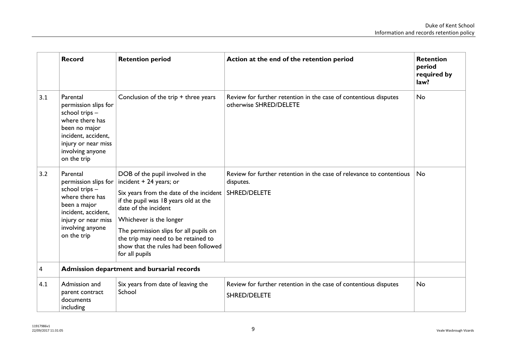|     | <b>Record</b>                                                                                                                                                           | <b>Retention period</b>                                                                                                                                                                                                                                                                                                                       | Action at the end of the retention period                                                         | <b>Retention</b><br>period<br>required by<br>law? |
|-----|-------------------------------------------------------------------------------------------------------------------------------------------------------------------------|-----------------------------------------------------------------------------------------------------------------------------------------------------------------------------------------------------------------------------------------------------------------------------------------------------------------------------------------------|---------------------------------------------------------------------------------------------------|---------------------------------------------------|
| 3.1 | Parental<br>permission slips for<br>school trips -<br>where there has<br>been no major<br>incident, accident,<br>injury or near miss<br>involving anyone<br>on the trip | Conclusion of the trip + three years                                                                                                                                                                                                                                                                                                          | Review for further retention in the case of contentious disputes<br>otherwise SHRED/DELETE        | <b>No</b>                                         |
| 3.2 | Parental<br>permission slips for<br>school trips -<br>where there has<br>been a major<br>incident, accident,<br>injury or near miss<br>involving anyone<br>on the trip  | DOB of the pupil involved in the<br>incident + 24 years; or<br>Six years from the date of the incident<br>if the pupil was 18 years old at the<br>date of the incident<br>Whichever is the longer<br>The permission slips for all pupils on<br>the trip may need to be retained to<br>show that the rules had been followed<br>for all pupils | Review for further retention in the case of relevance to contentious<br>disputes.<br>SHRED/DELETE | No.                                               |
| 4   |                                                                                                                                                                         | Admission department and bursarial records                                                                                                                                                                                                                                                                                                    |                                                                                                   |                                                   |
| 4.1 | Admission and<br>parent contract<br>documents<br>including                                                                                                              | Six years from date of leaving the<br>School                                                                                                                                                                                                                                                                                                  | Review for further retention in the case of contentious disputes<br><b>SHRED/DELETE</b>           | <b>No</b>                                         |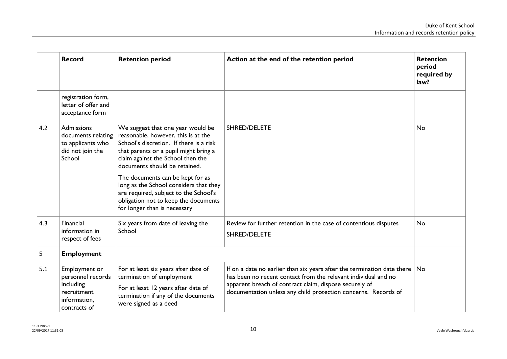|     | <b>Record</b>                                                                                  | <b>Retention period</b>                                                                                                                                                                                                            | Action at the end of the retention period                                                                                                                                                                                                                                    | <b>Retention</b><br>period<br>required by<br>law? |
|-----|------------------------------------------------------------------------------------------------|------------------------------------------------------------------------------------------------------------------------------------------------------------------------------------------------------------------------------------|------------------------------------------------------------------------------------------------------------------------------------------------------------------------------------------------------------------------------------------------------------------------------|---------------------------------------------------|
|     | registration form,<br>letter of offer and<br>acceptance form                                   |                                                                                                                                                                                                                                    |                                                                                                                                                                                                                                                                              |                                                   |
| 4.2 | <b>Admissions</b><br>documents relating<br>to applicants who<br>did not join the<br>School     | We suggest that one year would be<br>reasonable, however, this is at the<br>School's discretion. If there is a risk<br>that parents or a pupil might bring a<br>claim against the School then the<br>documents should be retained. | SHRED/DELETE                                                                                                                                                                                                                                                                 | <b>No</b>                                         |
|     |                                                                                                | The documents can be kept for as<br>long as the School considers that they<br>are required, subject to the School's<br>obligation not to keep the documents<br>for longer than is necessary                                        |                                                                                                                                                                                                                                                                              |                                                   |
| 4.3 | Financial<br>information in<br>respect of fees                                                 | Six years from date of leaving the<br>School                                                                                                                                                                                       | Review for further retention in the case of contentious disputes<br>SHRED/DELETE                                                                                                                                                                                             | <b>No</b>                                         |
| 5   | <b>Employment</b>                                                                              |                                                                                                                                                                                                                                    |                                                                                                                                                                                                                                                                              |                                                   |
| 5.1 | Employment or<br>personnel records<br>including<br>recruitment<br>information,<br>contracts of | For at least six years after date of<br>termination of employment<br>For at least 12 years after date of<br>termination if any of the documents<br>were signed as a deed                                                           | If on a date no earlier than six years after the termination date there $ $ No<br>has been no recent contact from the relevant individual and no<br>apparent breach of contract claim, dispose securely of<br>documentation unless any child protection concerns. Records of |                                                   |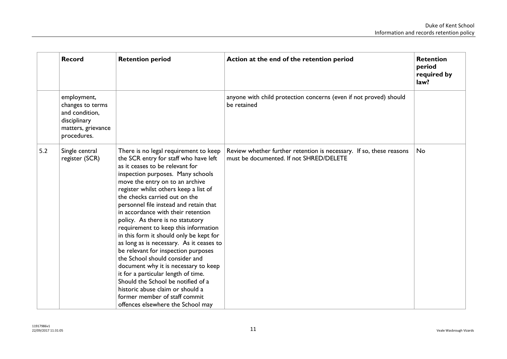|     | <b>Record</b>                                                                                          | <b>Retention period</b>                                                                                                                                                                                                                                                                                                                                                                                                                                                                                                                                                                                                                                                                                                                                                                                                        | Action at the end of the retention period                                                                      | <b>Retention</b><br>period<br>required by<br>law? |
|-----|--------------------------------------------------------------------------------------------------------|--------------------------------------------------------------------------------------------------------------------------------------------------------------------------------------------------------------------------------------------------------------------------------------------------------------------------------------------------------------------------------------------------------------------------------------------------------------------------------------------------------------------------------------------------------------------------------------------------------------------------------------------------------------------------------------------------------------------------------------------------------------------------------------------------------------------------------|----------------------------------------------------------------------------------------------------------------|---------------------------------------------------|
|     | employment,<br>changes to terms<br>and condition,<br>disciplinary<br>matters, grievance<br>procedures. |                                                                                                                                                                                                                                                                                                                                                                                                                                                                                                                                                                                                                                                                                                                                                                                                                                | anyone with child protection concerns (even if not proved) should<br>be retained                               |                                                   |
| 5.2 | Single central<br>register (SCR)                                                                       | There is no legal requirement to keep<br>the SCR entry for staff who have left<br>as it ceases to be relevant for<br>inspection purposes. Many schools<br>move the entry on to an archive<br>register whilst others keep a list of<br>the checks carried out on the<br>personnel file instead and retain that<br>in accordance with their retention<br>policy. As there is no statutory<br>requirement to keep this information<br>in this form it should only be kept for<br>as long as is necessary. As it ceases to<br>be relevant for inspection purposes<br>the School should consider and<br>document why it is necessary to keep<br>it for a particular length of time.<br>Should the School be notified of a<br>historic abuse claim or should a<br>former member of staff commit<br>offences elsewhere the School may | Review whether further retention is necessary. If so, these reasons<br>must be documented. If not SHRED/DELETE | <b>No</b>                                         |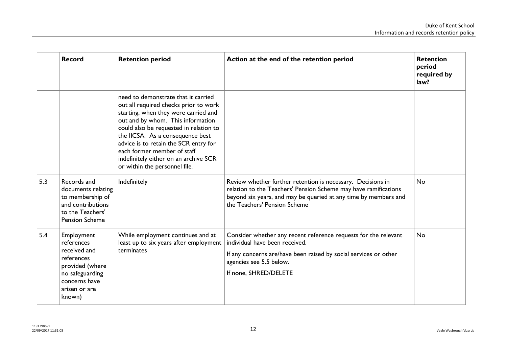|     | <b>Record</b>                                                                                                                            | <b>Retention period</b>                                                                                                                                                                                                                                                                                                                                                                   | Action at the end of the retention period                                                                                                                                                                                         | <b>Retention</b><br>period<br>required by<br>law? |
|-----|------------------------------------------------------------------------------------------------------------------------------------------|-------------------------------------------------------------------------------------------------------------------------------------------------------------------------------------------------------------------------------------------------------------------------------------------------------------------------------------------------------------------------------------------|-----------------------------------------------------------------------------------------------------------------------------------------------------------------------------------------------------------------------------------|---------------------------------------------------|
|     |                                                                                                                                          | need to demonstrate that it carried<br>out all required checks prior to work<br>starting, when they were carried and<br>out and by whom. This information<br>could also be requested in relation to<br>the IICSA. As a consequence best<br>advice is to retain the SCR entry for<br>each former member of staff<br>indefinitely either on an archive SCR<br>or within the personnel file. |                                                                                                                                                                                                                                   |                                                   |
| 5.3 | Records and<br>documents relating<br>to membership of<br>and contributions<br>to the Teachers'<br><b>Pension Scheme</b>                  | Indefinitely                                                                                                                                                                                                                                                                                                                                                                              | Review whether further retention is necessary. Decisions in<br>relation to the Teachers' Pension Scheme may have ramifications<br>beyond six years, and may be queried at any time by members and<br>the Teachers' Pension Scheme | <b>No</b>                                         |
| 5.4 | Employment<br>references<br>received and<br>references<br>provided (where<br>no safeguarding<br>concerns have<br>arisen or are<br>known) | While employment continues and at<br>least up to six years after employment<br>terminates                                                                                                                                                                                                                                                                                                 | Consider whether any recent reference requests for the relevant<br>individual have been received.<br>If any concerns are/have been raised by social services or other<br>agencies see 5.5 below.<br>If none, SHRED/DELETE         | No                                                |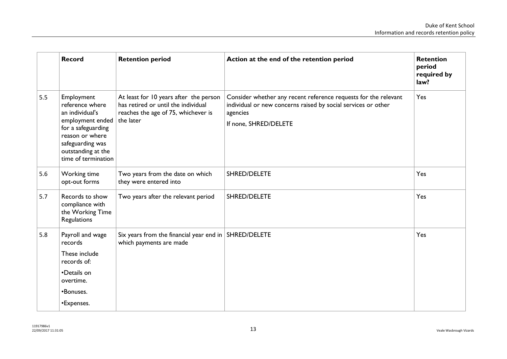|     | <b>Record</b>                                                                                                                                                                  | <b>Retention period</b>                                                                                                           | Action at the end of the retention period                                                                                                                             | <b>Retention</b><br>period<br>required by<br>law? |
|-----|--------------------------------------------------------------------------------------------------------------------------------------------------------------------------------|-----------------------------------------------------------------------------------------------------------------------------------|-----------------------------------------------------------------------------------------------------------------------------------------------------------------------|---------------------------------------------------|
| 5.5 | Employment<br>reference where<br>an individual's<br>employment ended<br>for a safeguarding<br>reason or where<br>safeguarding was<br>outstanding at the<br>time of termination | At least for 10 years after the person<br>has retired or until the individual<br>reaches the age of 75, whichever is<br>the later | Consider whether any recent reference requests for the relevant<br>individual or new concerns raised by social services or other<br>agencies<br>If none, SHRED/DELETE | Yes                                               |
| 5.6 | Working time<br>opt-out forms                                                                                                                                                  | Two years from the date on which<br>they were entered into                                                                        | SHRED/DELETE                                                                                                                                                          | Yes                                               |
| 5.7 | Records to show<br>compliance with<br>the Working Time<br>Regulations                                                                                                          | Two years after the relevant period                                                                                               | SHRED/DELETE                                                                                                                                                          | Yes                                               |
| 5.8 | Payroll and wage<br>records<br>These include<br>records of:<br>•Details on<br>overtime.<br>•Bonuses.<br>•Expenses.                                                             | Six years from the financial year end in   SHRED/DELETE<br>which payments are made                                                |                                                                                                                                                                       | Yes                                               |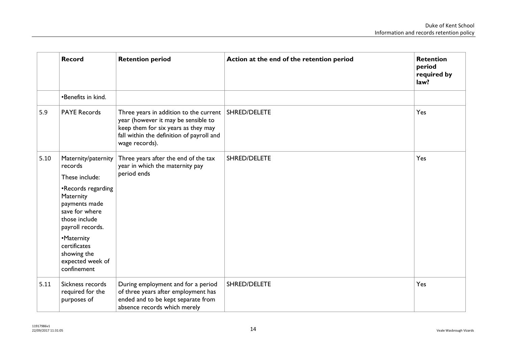|      | <b>Record</b>                                                                                           | <b>Retention period</b>                                                                                                                                                                          | Action at the end of the retention period | <b>Retention</b><br>period<br>required by<br>law? |
|------|---------------------------------------------------------------------------------------------------------|--------------------------------------------------------------------------------------------------------------------------------------------------------------------------------------------------|-------------------------------------------|---------------------------------------------------|
|      | •Benefits in kind.                                                                                      |                                                                                                                                                                                                  |                                           |                                                   |
| 5.9  | <b>PAYE Records</b>                                                                                     | Three years in addition to the current SHRED/DELETE<br>year (however it may be sensible to<br>keep them for six years as they may<br>fall within the definition of payroll and<br>wage records). |                                           | Yes                                               |
| 5.10 | Maternity/paternity<br>records<br>These include:                                                        | Three years after the end of the tax<br>year in which the maternity pay<br>period ends                                                                                                           | SHRED/DELETE                              | Yes                                               |
|      | •Records regarding<br>Maternity<br>payments made<br>save for where<br>those include<br>payroll records. |                                                                                                                                                                                                  |                                           |                                                   |
|      | •Maternity<br>certificates<br>showing the<br>expected week of<br>confinement                            |                                                                                                                                                                                                  |                                           |                                                   |
| 5.11 | Sickness records<br>required for the<br>purposes of                                                     | During employment and for a period<br>of three years after employment has<br>ended and to be kept separate from<br>absence records which merely                                                  | SHRED/DELETE                              | Yes                                               |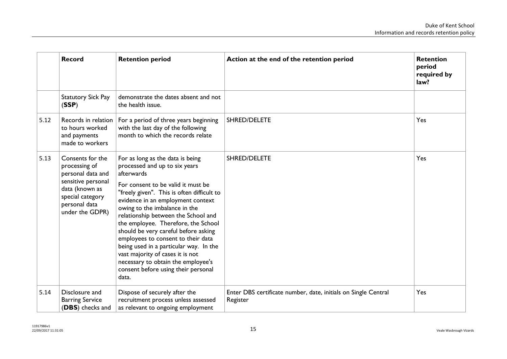|      | <b>Record</b>                                                                                                                                          | <b>Retention period</b>                                                                                                                                                                                                                                                                                                                                                                                                                                                                                                                                                   | Action at the end of the retention period                                  | <b>Retention</b><br>period<br>required by<br>law? |
|------|--------------------------------------------------------------------------------------------------------------------------------------------------------|---------------------------------------------------------------------------------------------------------------------------------------------------------------------------------------------------------------------------------------------------------------------------------------------------------------------------------------------------------------------------------------------------------------------------------------------------------------------------------------------------------------------------------------------------------------------------|----------------------------------------------------------------------------|---------------------------------------------------|
|      | <b>Statutory Sick Pay</b><br>(SSP)                                                                                                                     | demonstrate the dates absent and not<br>the health issue.                                                                                                                                                                                                                                                                                                                                                                                                                                                                                                                 |                                                                            |                                                   |
| 5.12 | Records in relation<br>to hours worked<br>and payments<br>made to workers                                                                              | For a period of three years beginning<br>with the last day of the following<br>month to which the records relate                                                                                                                                                                                                                                                                                                                                                                                                                                                          | SHRED/DELETE                                                               | Yes                                               |
| 5.13 | Consents for the<br>processing of<br>personal data and<br>sensitive personal<br>data (known as<br>special category<br>personal data<br>under the GDPR) | For as long as the data is being<br>processed and up to six years<br>afterwards<br>For consent to be valid it must be<br>"freely given". This is often difficult to<br>evidence in an employment context<br>owing to the imbalance in the<br>relationship between the School and<br>the employee. Therefore, the School<br>should be very careful before asking<br>employees to consent to their data<br>being used in a particular way. In the<br>vast majority of cases it is not<br>necessary to obtain the employee's<br>consent before using their personal<br>data. | SHRED/DELETE                                                               | Yes                                               |
| 5.14 | Disclosure and<br><b>Barring Service</b><br>(DBS) checks and                                                                                           | Dispose of securely after the<br>recruitment process unless assessed<br>as relevant to ongoing employment                                                                                                                                                                                                                                                                                                                                                                                                                                                                 | Enter DBS certificate number, date, initials on Single Central<br>Register | Yes                                               |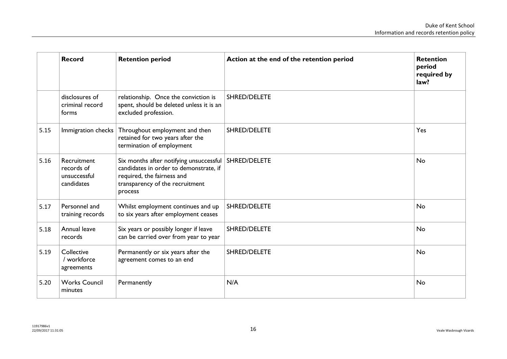|      | <b>Record</b>                                           | <b>Retention period</b>                                                                                                                                                      | Action at the end of the retention period | <b>Retention</b><br>period<br>required by<br>law? |
|------|---------------------------------------------------------|------------------------------------------------------------------------------------------------------------------------------------------------------------------------------|-------------------------------------------|---------------------------------------------------|
|      | disclosures of<br>criminal record<br>forms              | relationship. Once the conviction is<br>spent, should be deleted unless it is an<br>excluded profession.                                                                     | SHRED/DELETE                              |                                                   |
| 5.15 | Immigration checks                                      | Throughout employment and then<br>retained for two years after the<br>termination of employment                                                                              | SHRED/DELETE                              | Yes                                               |
| 5.16 | Recruitment<br>records of<br>unsuccessful<br>candidates | Six months after notifying unsuccessful   SHRED/DELETE<br>candidates in order to demonstrate, if<br>required, the fairness and<br>transparency of the recruitment<br>process |                                           | <b>No</b>                                         |
| 5.17 | Personnel and<br>training records                       | Whilst employment continues and up<br>to six years after employment ceases                                                                                                   | SHRED/DELETE                              | <b>No</b>                                         |
| 5.18 | Annual leave<br>records                                 | Six years or possibly longer if leave<br>can be carried over from year to year                                                                                               | SHRED/DELETE                              | <b>No</b>                                         |
| 5.19 | Collective<br>/ workforce<br>agreements                 | Permanently or six years after the<br>agreement comes to an end                                                                                                              | SHRED/DELETE                              | <b>No</b>                                         |
| 5.20 | <b>Works Council</b><br>minutes                         | Permanently                                                                                                                                                                  | N/A                                       | <b>No</b>                                         |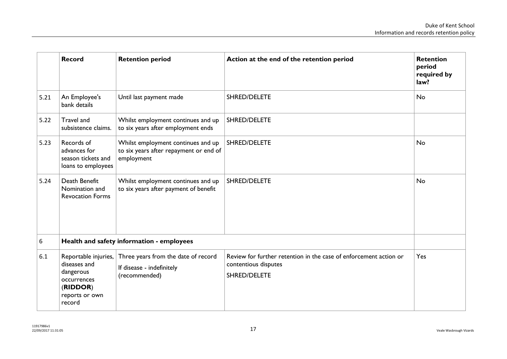<span id="page-16-0"></span>

|      | <b>Record</b>                                                                                            | <b>Retention period</b>                                                                    | Action at the end of the retention period                                                                 | <b>Retention</b><br>period<br>required by<br>law? |
|------|----------------------------------------------------------------------------------------------------------|--------------------------------------------------------------------------------------------|-----------------------------------------------------------------------------------------------------------|---------------------------------------------------|
| 5.21 | An Employee's<br>bank details                                                                            | Until last payment made                                                                    | SHRED/DELETE                                                                                              | <b>No</b>                                         |
| 5.22 | Travel and<br>subsistence claims.                                                                        | Whilst employment continues and up<br>to six years after employment ends                   | SHRED/DELETE                                                                                              |                                                   |
| 5.23 | Records of<br>advances for<br>season tickets and<br>loans to employees                                   | Whilst employment continues and up<br>to six years after repayment or end of<br>employment | <b>SHRED/DELETE</b>                                                                                       | <b>No</b>                                         |
| 5.24 | Death Benefit<br>Nomination and<br><b>Revocation Forms</b>                                               | Whilst employment continues and up<br>to six years after payment of benefit                | SHRED/DELETE                                                                                              | <b>No</b>                                         |
| 6    |                                                                                                          | Health and safety information - employees                                                  |                                                                                                           |                                                   |
| 6.1  | Reportable injuries,<br>diseases and<br>dangerous<br>occurrences<br>(RIDDOR)<br>reports or own<br>record | Three years from the date of record<br>If disease - indefinitely<br>(recommended)          | Review for further retention in the case of enforcement action or<br>contentious disputes<br>SHRED/DELETE | Yes                                               |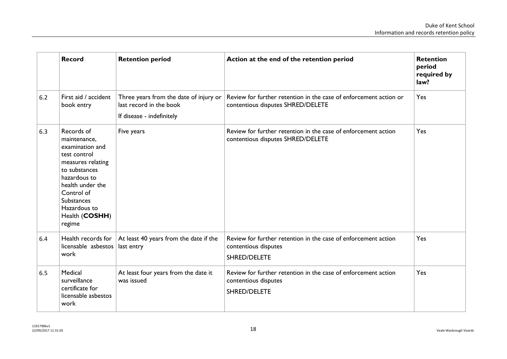|     | <b>Record</b>                                                                                                                                                                                                          | <b>Retention period</b>                                                                        | Action at the end of the retention period                                                              | <b>Retention</b><br>period<br>required by<br>law? |
|-----|------------------------------------------------------------------------------------------------------------------------------------------------------------------------------------------------------------------------|------------------------------------------------------------------------------------------------|--------------------------------------------------------------------------------------------------------|---------------------------------------------------|
| 6.2 | First aid / accident<br>book entry                                                                                                                                                                                     | Three years from the date of injury or<br>last record in the book<br>If disease - indefinitely | Review for further retention in the case of enforcement action or<br>contentious disputes SHRED/DELETE | Yes                                               |
| 6.3 | Records of<br>maintenance,<br>examination and<br>test control<br>measures relating<br>to substances<br>hazardous to<br>health under the<br>Control of<br><b>Substances</b><br>Hazardous to<br>Health (COSHH)<br>regime | Five years                                                                                     | Review for further retention in the case of enforcement action<br>contentious disputes SHRED/DELETE    | Yes                                               |
| 6.4 | licensable asbestos<br>work                                                                                                                                                                                            | Health records for $ $ At least 40 years from the date if the<br>last entry                    | Review for further retention in the case of enforcement action<br>contentious disputes<br>SHRED/DELETE | Yes                                               |
| 6.5 | Medical<br>surveillance<br>certificate for<br>licensable asbestos<br>work                                                                                                                                              | At least four years from the date it<br>was issued                                             | Review for further retention in the case of enforcement action<br>contentious disputes<br>SHRED/DELETE | Yes                                               |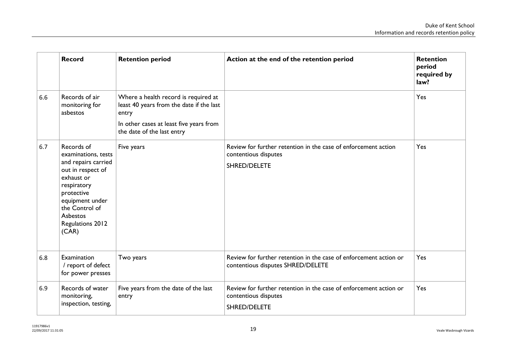|     | <b>Record</b>                                                                                                                                                                                          | <b>Retention period</b>                                                                                                                                            | Action at the end of the retention period                                                                 | <b>Retention</b><br>period<br>required by<br>law? |
|-----|--------------------------------------------------------------------------------------------------------------------------------------------------------------------------------------------------------|--------------------------------------------------------------------------------------------------------------------------------------------------------------------|-----------------------------------------------------------------------------------------------------------|---------------------------------------------------|
| 6.6 | Records of air<br>monitoring for<br>asbestos                                                                                                                                                           | Where a health record is required at<br>least 40 years from the date if the last<br>entry<br>In other cases at least five years from<br>the date of the last entry |                                                                                                           | Yes                                               |
| 6.7 | Records of<br>examinations, tests<br>and repairs carried<br>out in respect of<br>exhaust or<br>respiratory<br>protective<br>equipment under<br>the Control of<br>Asbestos<br>Regulations 2012<br>(CAR) | Five years                                                                                                                                                         | Review for further retention in the case of enforcement action<br>contentious disputes<br>SHRED/DELETE    | Yes                                               |
| 6.8 | Examination<br>/ report of defect<br>for power presses                                                                                                                                                 | Two years                                                                                                                                                          | Review for further retention in the case of enforcement action or<br>contentious disputes SHRED/DELETE    | Yes                                               |
| 6.9 | Records of water<br>monitoring,<br>inspection, testing,                                                                                                                                                | Five years from the date of the last<br>entry                                                                                                                      | Review for further retention in the case of enforcement action or<br>contentious disputes<br>SHRED/DELETE | Yes                                               |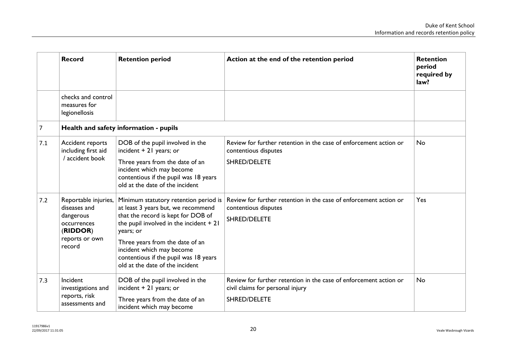|     | <b>Record</b>                                                                                            | <b>Retention period</b>                                                                                                                                                                                                                                                                                                | Action at the end of the retention period                                                                             | <b>Retention</b><br>period<br>required by<br>law? |
|-----|----------------------------------------------------------------------------------------------------------|------------------------------------------------------------------------------------------------------------------------------------------------------------------------------------------------------------------------------------------------------------------------------------------------------------------------|-----------------------------------------------------------------------------------------------------------------------|---------------------------------------------------|
|     | checks and control<br>measures for<br>legionellosis                                                      |                                                                                                                                                                                                                                                                                                                        |                                                                                                                       |                                                   |
| 7   |                                                                                                          | Health and safety information - pupils                                                                                                                                                                                                                                                                                 |                                                                                                                       |                                                   |
| 7.1 | Accident reports<br>including first aid<br>/ accident book                                               | DOB of the pupil involved in the<br>incident $+21$ years; or<br>Three years from the date of an<br>incident which may become<br>contentious if the pupil was 18 years<br>old at the date of the incident                                                                                                               | Review for further retention in the case of enforcement action or<br>contentious disputes<br>SHRED/DELETE             | No                                                |
| 7.2 | Reportable injuries,<br>diseases and<br>dangerous<br>occurrences<br>(RIDDOR)<br>reports or own<br>record | Minimum statutory retention period is<br>at least 3 years but, we recommend<br>that the record is kept for DOB of<br>the pupil involved in the incident $+21$<br>years; or<br>Three years from the date of an<br>incident which may become<br>contentious if the pupil was 18 years<br>old at the date of the incident | Review for further retention in the case of enforcement action or<br>contentious disputes<br><b>SHRED/DELETE</b>      | Yes                                               |
| 7.3 | Incident<br>investigations and<br>reports, risk<br>assessments and                                       | DOB of the pupil involved in the<br>incident $+21$ years; or<br>Three years from the date of an<br>incident which may become                                                                                                                                                                                           | Review for further retention in the case of enforcement action or<br>civil claims for personal injury<br>SHRED/DELETE | No                                                |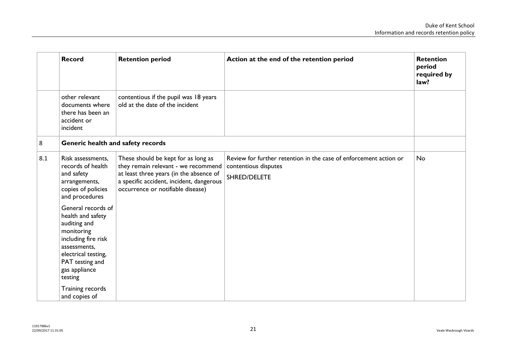|     | <b>Record</b>                                                                                                                                                                      | <b>Retention period</b>                                                                                                                                                                                | Action at the end of the retention period                                                                 | <b>Retention</b><br>period<br>required by<br>law? |
|-----|------------------------------------------------------------------------------------------------------------------------------------------------------------------------------------|--------------------------------------------------------------------------------------------------------------------------------------------------------------------------------------------------------|-----------------------------------------------------------------------------------------------------------|---------------------------------------------------|
|     | other relevant<br>documents where<br>there has been an<br>accident or<br>incident                                                                                                  | contentious if the pupil was 18 years<br>old at the date of the incident                                                                                                                               |                                                                                                           |                                                   |
| 8   | Generic health and safety records                                                                                                                                                  |                                                                                                                                                                                                        |                                                                                                           |                                                   |
| 8.1 | Risk assessments,<br>records of health<br>and safety<br>arrangements,<br>copies of policies<br>and procedures                                                                      | These should be kept for as long as<br>they remain relevant - we recommend<br>at least three years (in the absence of<br>a specific accident, incident, dangerous<br>occurrence or notifiable disease) | Review for further retention in the case of enforcement action or<br>contentious disputes<br>SHRED/DELETE | No                                                |
|     | General records of<br>health and safety<br>auditing and<br>monitoring<br>including fire risk<br>assessments,<br>electrical testing,<br>PAT testing and<br>gas appliance<br>testing |                                                                                                                                                                                                        |                                                                                                           |                                                   |
|     | Training records<br>and copies of                                                                                                                                                  |                                                                                                                                                                                                        |                                                                                                           |                                                   |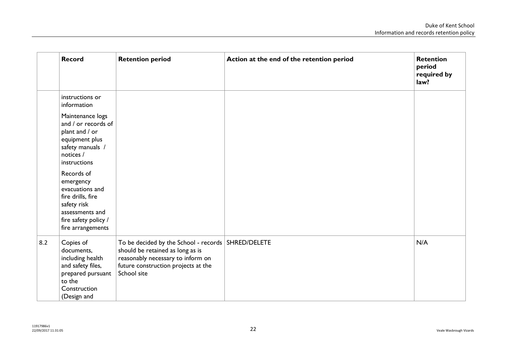|     | <b>Record</b>                                                                                                                                  | <b>Retention period</b>                                                                                                                                                             | Action at the end of the retention period | <b>Retention</b><br>period<br>required by<br>law? |
|-----|------------------------------------------------------------------------------------------------------------------------------------------------|-------------------------------------------------------------------------------------------------------------------------------------------------------------------------------------|-------------------------------------------|---------------------------------------------------|
|     | instructions or<br>information                                                                                                                 |                                                                                                                                                                                     |                                           |                                                   |
|     | Maintenance logs<br>and / or records of<br>plant and / or<br>equipment plus<br>safety manuals /<br>notices /<br>instructions                   |                                                                                                                                                                                     |                                           |                                                   |
|     | Records of<br>emergency<br>evacuations and<br>fire drills, fire<br>safety risk<br>assessments and<br>fire safety policy /<br>fire arrangements |                                                                                                                                                                                     |                                           |                                                   |
| 8.2 | Copies of<br>documents,<br>including health<br>and safety files,<br>prepared pursuant<br>to the<br>Construction<br>(Design and                 | To be decided by the School - records   SHRED/DELETE<br>should be retained as long as is<br>reasonably necessary to inform on<br>future construction projects at the<br>School site |                                           | N/A                                               |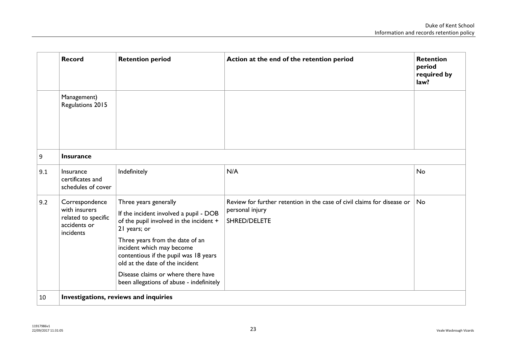|     | <b>Record</b>                                                     | <b>Retention period</b>                                                                                                                  | Action at the end of the retention period                               | <b>Retention</b><br>period<br>required by<br>law? |
|-----|-------------------------------------------------------------------|------------------------------------------------------------------------------------------------------------------------------------------|-------------------------------------------------------------------------|---------------------------------------------------|
|     | Management)<br>Regulations 2015                                   |                                                                                                                                          |                                                                         |                                                   |
| 9   | <b>Insurance</b>                                                  |                                                                                                                                          |                                                                         |                                                   |
| 9.1 | Insurance<br>certificates and<br>schedules of cover               | Indefinitely                                                                                                                             | N/A                                                                     | <b>No</b>                                         |
| 9.2 | Correspondence                                                    | Three years generally                                                                                                                    | Review for further retention in the case of civil claims for disease or | <b>No</b>                                         |
|     | with insurers<br>related to specific<br>accidents or<br>incidents | If the incident involved a pupil - DOB<br>of the pupil involved in the incident +<br>21 years; or                                        | personal injury<br>SHRED/DELETE                                         |                                                   |
|     |                                                                   | Three years from the date of an<br>incident which may become<br>contentious if the pupil was 18 years<br>old at the date of the incident |                                                                         |                                                   |
|     |                                                                   | Disease claims or where there have<br>been allegations of abuse - indefinitely                                                           |                                                                         |                                                   |
| 10  | Investigations, reviews and inquiries                             |                                                                                                                                          |                                                                         |                                                   |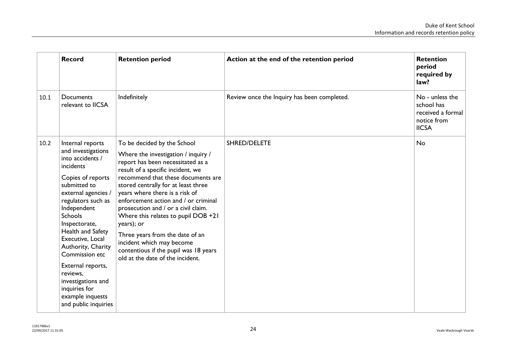|      | <b>Record</b>                                                                                                                                                                                                                                                                                                                                                                                                    | <b>Retention period</b>                                                                                                                                                                                                                                                                                                                                                                                                                                                                                                                      | Action at the end of the retention period   | <b>Retention</b><br>period<br>required by<br>law?                                 |
|------|------------------------------------------------------------------------------------------------------------------------------------------------------------------------------------------------------------------------------------------------------------------------------------------------------------------------------------------------------------------------------------------------------------------|----------------------------------------------------------------------------------------------------------------------------------------------------------------------------------------------------------------------------------------------------------------------------------------------------------------------------------------------------------------------------------------------------------------------------------------------------------------------------------------------------------------------------------------------|---------------------------------------------|-----------------------------------------------------------------------------------|
| 10.1 | Documents<br>relevant to IICSA                                                                                                                                                                                                                                                                                                                                                                                   | Indefinitely                                                                                                                                                                                                                                                                                                                                                                                                                                                                                                                                 | Review once the Inquiry has been completed. | No - unless the<br>school has<br>received a formal<br>notice from<br><b>IICSA</b> |
| 10.2 | Internal reports<br>and investigations<br>into accidents /<br>incidents<br>Copies of reports<br>submitted to<br>external agencies /<br>regulators such as<br>Independent<br><b>Schools</b><br>Inspectorate,<br>Health and Safety<br>Executive, Local<br>Authority, Charity<br>Commission etc<br>External reports,<br>reviews,<br>investigations and<br>inquiries for<br>example inquests<br>and public inquiries | To be decided by the School<br>Where the investigation / inquiry /<br>report has been necessitated as a<br>result of a specific incident, we<br>recommend that these documents are<br>stored centrally for at least three<br>years where there is a risk of<br>enforcement action and / or criminal<br>prosecution and / or a civil claim.<br>Where this relates to pupil DOB +21<br>years); or<br>Three years from the date of an<br>incident which may become<br>contentious if the pupil was 18 years<br>old at the date of the incident. | SHRED/DELETE                                | No                                                                                |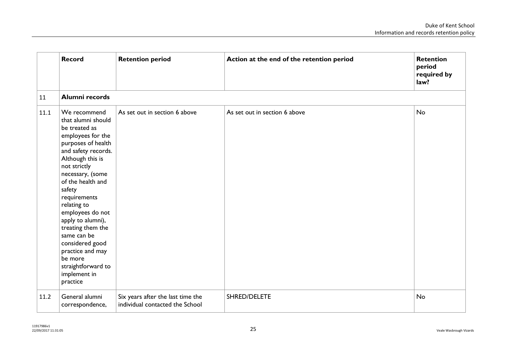|      | <b>Record</b>                                                                                                                                                                                                                                                                                                                                                                                                                | <b>Retention period</b>                                              | Action at the end of the retention period | <b>Retention</b><br>period<br>required by<br>law? |
|------|------------------------------------------------------------------------------------------------------------------------------------------------------------------------------------------------------------------------------------------------------------------------------------------------------------------------------------------------------------------------------------------------------------------------------|----------------------------------------------------------------------|-------------------------------------------|---------------------------------------------------|
| 11   | Alumni records                                                                                                                                                                                                                                                                                                                                                                                                               |                                                                      |                                           |                                                   |
| 11.1 | We recommend<br>that alumni should<br>be treated as<br>employees for the<br>purposes of health<br>and safety records.<br>Although this is<br>not strictly<br>necessary, (some<br>of the health and<br>safety<br>requirements<br>relating to<br>employees do not<br>apply to alumni),<br>treating them the<br>same can be<br>considered good<br>practice and may<br>be more<br>straightforward to<br>implement in<br>practice | As set out in section 6 above                                        | As set out in section 6 above             | <b>No</b>                                         |
| 11.2 | General alumni<br>correspondence,                                                                                                                                                                                                                                                                                                                                                                                            | Six years after the last time the<br>individual contacted the School | SHRED/DELETE                              | No                                                |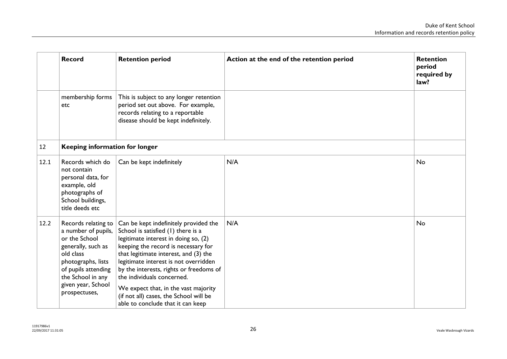<span id="page-25-0"></span>

|      | <b>Record</b>                                                                                                                                                                                           | <b>Retention period</b>                                                                                                                                                                                                                                                                                                                                                                                                                      | Action at the end of the retention period | <b>Retention</b><br>period<br>required by<br>law? |
|------|---------------------------------------------------------------------------------------------------------------------------------------------------------------------------------------------------------|----------------------------------------------------------------------------------------------------------------------------------------------------------------------------------------------------------------------------------------------------------------------------------------------------------------------------------------------------------------------------------------------------------------------------------------------|-------------------------------------------|---------------------------------------------------|
|      | membership forms<br>etc                                                                                                                                                                                 | This is subject to any longer retention<br>period set out above. For example,<br>records relating to a reportable<br>disease should be kept indefinitely.                                                                                                                                                                                                                                                                                    |                                           |                                                   |
| 12   | <b>Keeping information for longer</b>                                                                                                                                                                   |                                                                                                                                                                                                                                                                                                                                                                                                                                              |                                           |                                                   |
| 12.1 | Records which do<br>not contain<br>personal data, for<br>example, old<br>photographs of<br>School buildings,<br>title deeds etc                                                                         | Can be kept indefinitely                                                                                                                                                                                                                                                                                                                                                                                                                     | N/A                                       | <b>No</b>                                         |
| 12.2 | Records relating to<br>a number of pupils,<br>or the School<br>generally, such as<br>old class<br>photographs, lists<br>of pupils attending<br>the School in any<br>given year, School<br>prospectuses, | Can be kept indefinitely provided the<br>School is satisfied (1) there is a<br>legitimate interest in doing so, (2)<br>keeping the record is necessary for<br>that legitimate interest, and (3) the<br>legitimate interest is not overridden<br>by the interests, rights or freedoms of<br>the individuals concerned.<br>We expect that, in the vast majority<br>(if not all) cases, the School will be<br>able to conclude that it can keep | N/A                                       | <b>No</b>                                         |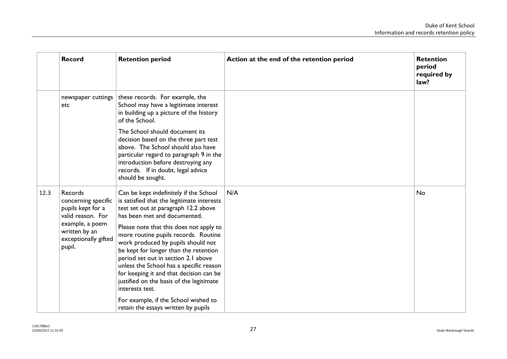<span id="page-26-0"></span>

|      | <b>Record</b>                                                                                                                                  | <b>Retention period</b>                                                                                                                                                                                                                                                                                                                                                                                                                                                                                                    | Action at the end of the retention period | <b>Retention</b><br>period<br>required by<br>law? |
|------|------------------------------------------------------------------------------------------------------------------------------------------------|----------------------------------------------------------------------------------------------------------------------------------------------------------------------------------------------------------------------------------------------------------------------------------------------------------------------------------------------------------------------------------------------------------------------------------------------------------------------------------------------------------------------------|-------------------------------------------|---------------------------------------------------|
|      | newspaper cuttings<br>etc                                                                                                                      | these records. For example, the<br>School may have a legitimate interest<br>in building up a picture of the history<br>of the School.                                                                                                                                                                                                                                                                                                                                                                                      |                                           |                                                   |
|      |                                                                                                                                                | The School should document its<br>decision based on the three part test<br>above. The School should also have<br>particular regard to paragraph 9 in the<br>introduction before destroying any<br>records. If in doubt, legal advice<br>should be sought.                                                                                                                                                                                                                                                                  |                                           |                                                   |
| 12.3 | Records<br>concerning specific<br>pupils kept for a<br>valid reason. For<br>example, a poem<br>written by an<br>exceptionally gifted<br>pupil. | Can be kept indefinitely if the School<br>is satisfied that the legitimate interests<br>test set out at paragraph 12.2 above<br>has been met and documented.<br>Please note that this does not apply to<br>more routine pupils records. Routine<br>work produced by pupils should not<br>be kept for longer than the retention<br>period set out in section 2.1 above<br>unless the School has a specific reason<br>for keeping it and that decision can be<br>justified on the basis of the legitimate<br>interests test. | N/A                                       | No                                                |
|      |                                                                                                                                                | For example, if the School wished to<br>retain the essays written by pupils                                                                                                                                                                                                                                                                                                                                                                                                                                                |                                           |                                                   |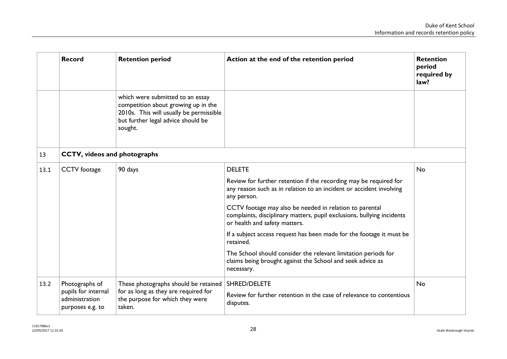|      | <b>Record</b>                                                               | <b>Retention period</b>                                                                                                                                             | Action at the end of the retention period                                                                                                                          | <b>Retention</b><br>period<br>required by<br>law? |  |  |
|------|-----------------------------------------------------------------------------|---------------------------------------------------------------------------------------------------------------------------------------------------------------------|--------------------------------------------------------------------------------------------------------------------------------------------------------------------|---------------------------------------------------|--|--|
|      |                                                                             | which were submitted to an essay<br>competition about growing up in the<br>2010s. This will usually be permissible<br>but further legal advice should be<br>sought. |                                                                                                                                                                    |                                                   |  |  |
| 13   | <b>CCTV, videos and photographs</b>                                         |                                                                                                                                                                     |                                                                                                                                                                    |                                                   |  |  |
| 13.1 | <b>CCTV</b> footage                                                         | 90 days                                                                                                                                                             | <b>DELETE</b>                                                                                                                                                      | <b>No</b>                                         |  |  |
|      |                                                                             |                                                                                                                                                                     | Review for further retention if the recording may be required for<br>any reason such as in relation to an incident or accident involving<br>any person.            |                                                   |  |  |
|      |                                                                             |                                                                                                                                                                     | CCTV footage may also be needed in relation to parental<br>complaints, disciplinary matters, pupil exclusions, bullying incidents<br>or health and safety matters. |                                                   |  |  |
|      |                                                                             |                                                                                                                                                                     | If a subject access request has been made for the footage it must be<br>retained.                                                                                  |                                                   |  |  |
|      |                                                                             |                                                                                                                                                                     | The School should consider the relevant limitation periods for<br>claims being brought against the School and seek advice as<br>necessary.                         |                                                   |  |  |
| 13.2 | Photographs of<br>pupils for internal<br>administration<br>purposes e.g. to | These photographs should be retained<br>for as long as they are required for<br>the purpose for which they were<br>taken.                                           | <b>SHRED/DELETE</b><br>Review for further retention in the case of relevance to contentious<br>disputes.                                                           | <b>No</b>                                         |  |  |